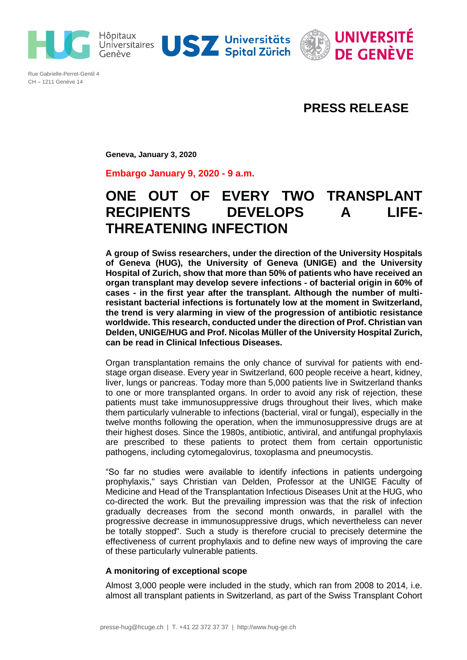



Rue Gabrielle-Perret-Gentil 4 CH – 1211 Genève 14

## **PRESS RELEASE**

**Geneva, January 3, 2020**

**Embargo January 9, 2020 - 9 a.m.**

# **ONE OUT OF EVERY TWO TRANSPLANT RECIPIENTS DEVELOPS A LIFE-THREATENING INFECTION**

**A group of Swiss researchers, under the direction of the University Hospitals of Geneva (HUG), the University of Geneva (UNIGE) and the University Hospital of Zurich, show that more than 50% of patients who have received an organ transplant may develop severe infections - of bacterial origin in 60% of cases - in the first year after the transplant. Although the number of multiresistant bacterial infections is fortunately low at the moment in Switzerland, the trend is very alarming in view of the progression of antibiotic resistance worldwide. This research, conducted under the direction of Prof. Christian van Delden, UNIGE/HUG and Prof. Nicolas Müller of the University Hospital Zurich, can be read in Clinical Infectious Diseases.** 

Organ transplantation remains the only chance of survival for patients with endstage organ disease. Every year in Switzerland, 600 people receive a heart, kidney, liver, lungs or pancreas. Today more than 5,000 patients live in Switzerland thanks to one or more transplanted organs. In order to avoid any risk of rejection, these patients must take immunosuppressive drugs throughout their lives, which make them particularly vulnerable to infections (bacterial, viral or fungal), especially in the twelve months following the operation, when the immunosuppressive drugs are at their highest doses. Since the 1980s, antibiotic, antiviral, and antifungal prophylaxis are prescribed to these patients to protect them from certain opportunistic pathogens, including cytomegalovirus, toxoplasma and pneumocystis.

"So far no studies were available to identify infections in patients undergoing prophylaxis," says Christian van Delden, Professor at the UNIGE Faculty of Medicine and Head of the Transplantation Infectious Diseases Unit at the HUG, who co-directed the work. But the prevailing impression was that the risk of infection gradually decreases from the second month onwards, in parallel with the progressive decrease in immunosuppressive drugs, which nevertheless can never be totally stopped". Such a study is therefore crucial to precisely determine the effectiveness of current prophylaxis and to define new ways of improving the care of these particularly vulnerable patients.

### **A monitoring of exceptional scope**

Almost 3,000 people were included in the study, which ran from 2008 to 2014, i.e. almost all transplant patients in Switzerland, as part of the Swiss Transplant Cohort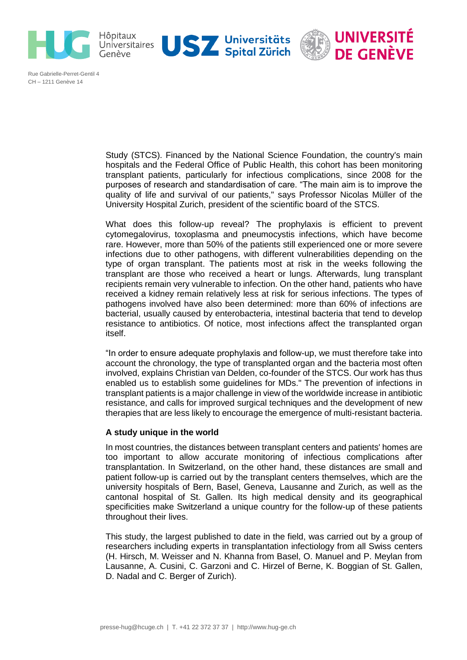



Rue Gabrielle-Perret-Gentil 4 CH – 1211 Genève 14

> Study (STCS). Financed by the National Science Foundation, the country's main hospitals and the Federal Office of Public Health, this cohort has been monitoring transplant patients, particularly for infectious complications, since 2008 for the purposes of research and standardisation of care. "The main aim is to improve the quality of life and survival of our patients," says Professor Nicolas Müller of the University Hospital Zurich, president of the scientific board of the STCS.

> What does this follow-up reveal? The prophylaxis is efficient to prevent cytomegalovirus, toxoplasma and pneumocystis infections, which have become rare. However, more than 50% of the patients still experienced one or more severe infections due to other pathogens, with different vulnerabilities depending on the type of organ transplant. The patients most at risk in the weeks following the transplant are those who received a heart or lungs. Afterwards, lung transplant recipients remain very vulnerable to infection. On the other hand, patients who have received a kidney remain relatively less at risk for serious infections. The types of pathogens involved have also been determined: more than 60% of infections are bacterial, usually caused by enterobacteria, intestinal bacteria that tend to develop resistance to antibiotics. Of notice, most infections affect the transplanted organ itself.

> "In order to ensure adequate prophylaxis and follow-up, we must therefore take into account the chronology, the type of transplanted organ and the bacteria most often involved, explains Christian van Delden, co-founder of the STCS. Our work has thus enabled us to establish some guidelines for MDs." The prevention of infections in transplant patients is a major challenge in view of the worldwide increase in antibiotic resistance, and calls for improved surgical techniques and the development of new therapies that are less likely to encourage the emergence of multi-resistant bacteria.

### **A study unique in the world**

In most countries, the distances between transplant centers and patients' homes are too important to allow accurate monitoring of infectious complications after transplantation. In Switzerland, on the other hand, these distances are small and patient follow-up is carried out by the transplant centers themselves, which are the university hospitals of Bern, Basel, Geneva, Lausanne and Zurich, as well as the cantonal hospital of St. Gallen. Its high medical density and its geographical specificities make Switzerland a unique country for the follow-up of these patients throughout their lives.

This study, the largest published to date in the field, was carried out by a group of researchers including experts in transplantation infectiology from all Swiss centers (H. Hirsch, M. Weisser and N. Khanna from Basel, O. Manuel and P. Meylan from Lausanne, A. Cusini, C. Garzoni and C. Hirzel of Berne, K. Boggian of St. Gallen, D. Nadal and C. Berger of Zurich).